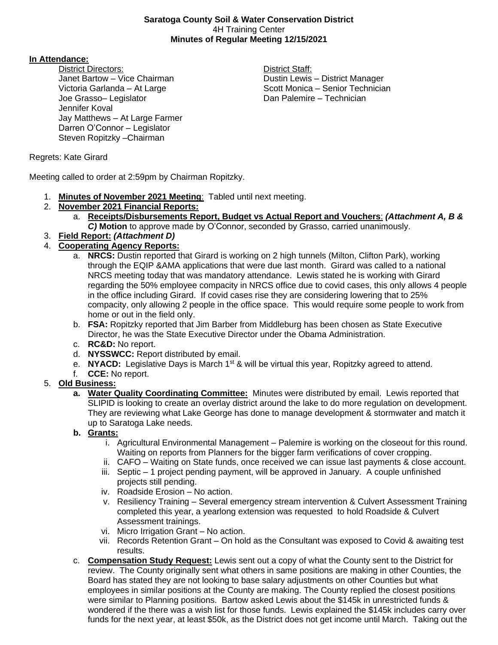#### **Saratoga County Soil & Water Conservation District** 4H Training Center **Minutes of Regular Meeting 12/15/2021**

#### **In Attendance:**

District Directors: **District Staff:** Janet Bartow – Vice Chairman **Dustin Lewis – District Manager** Joe Grasso– Legislator **Dan Palemire – Technician** Jennifer Koval Jay Matthews – At Large Farmer Darren O'Connor – Legislator Steven Ropitzky –Chairman

Victoria Garlanda – At Large Scott Monica – Senior Technician

Regrets: Kate Girard

Meeting called to order at 2:59pm by Chairman Ropitzky.

- 1. **Minutes of November 2021 Meeting**: Tabled until next meeting.
- 2. **November 2021 Financial Reports:**
	- a. **Receipts/Disbursements Report, Budget vs Actual Report and Vouchers**: *(Attachment A, B & C)* **Motion** to approve made by O'Connor, seconded by Grasso, carried unanimously.
- 3. **Field Report:** *(Attachment D)*

## 4. **Cooperating Agency Reports:**

- a. **NRCS:** Dustin reported that Girard is working on 2 high tunnels (Milton, Clifton Park), working through the EQIP &AMA applications that were due last month. Girard was called to a national NRCS meeting today that was mandatory attendance. Lewis stated he is working with Girard regarding the 50% employee compacity in NRCS office due to covid cases, this only allows 4 people in the office including Girard. If covid cases rise they are considering lowering that to 25% compacity, only allowing 2 people in the office space. This would require some people to work from home or out in the field only.
- b. **FSA:** Ropitzky reported that Jim Barber from Middleburg has been chosen as State Executive Director, he was the State Executive Director under the Obama Administration.
- c. **RC&D:** No report.
- d. **NYSSWCC:** Report distributed by email.
- e. **NYACD:** Legislative Days is March 1st & will be virtual this year, Ropitzky agreed to attend.
- f. **CCE:** No report.

#### 5. **Old Business:**

- **a. Water Quality Coordinating Committee:** Minutes were distributed by email. Lewis reported that SLIPID is looking to create an overlay district around the lake to do more regulation on development. They are reviewing what Lake George has done to manage development & stormwater and match it up to Saratoga Lake needs.
- **b. Grants:**
	- i. Agricultural Environmental Management Palemire is working on the closeout for this round. Waiting on reports from Planners for the bigger farm verifications of cover cropping.
	- ii. CAFO Waiting on State funds, once received we can issue last payments & close account.
	- iii. Septic 1 project pending payment, will be approved in January. A couple unfinished projects still pending.
	- iv. Roadside Erosion No action.
	- v. Resiliency Training Several emergency stream intervention & Culvert Assessment Training completed this year, a yearlong extension was requested to hold Roadside & Culvert Assessment trainings.
	- vi. Micro Irrigation Grant No action.
	- vii. Records Retention Grant On hold as the Consultant was exposed to Covid & awaiting test results.
- c. **Compensation Study Request:** Lewis sent out a copy of what the County sent to the District for review. The County originally sent what others in same positions are making in other Counties, the Board has stated they are not looking to base salary adjustments on other Counties but what employees in similar positions at the County are making. The County replied the closest positions were similar to Planning positions. Bartow asked Lewis about the \$145k in unrestricted funds & wondered if the there was a wish list for those funds. Lewis explained the \$145k includes carry over funds for the next year, at least \$50k, as the District does not get income until March. Taking out the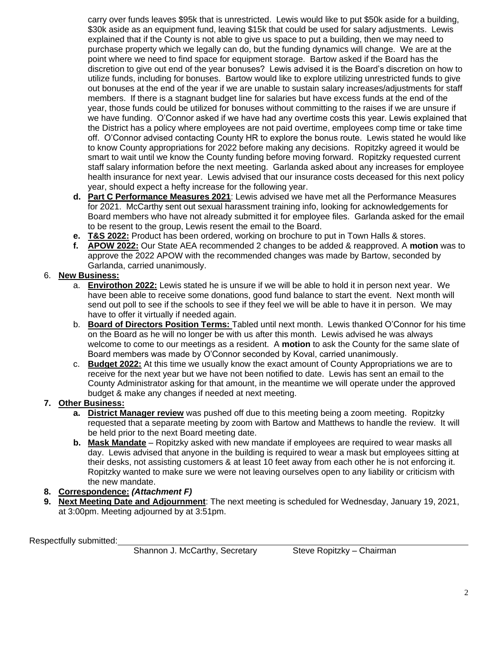carry over funds leaves \$95k that is unrestricted. Lewis would like to put \$50k aside for a building, \$30k aside as an equipment fund, leaving \$15k that could be used for salary adjustments. Lewis explained that if the County is not able to give us space to put a building, then we may need to purchase property which we legally can do, but the funding dynamics will change. We are at the point where we need to find space for equipment storage. Bartow asked if the Board has the discretion to give out end of the year bonuses? Lewis advised it is the Board's discretion on how to utilize funds, including for bonuses. Bartow would like to explore utilizing unrestricted funds to give out bonuses at the end of the year if we are unable to sustain salary increases/adjustments for staff members. If there is a stagnant budget line for salaries but have excess funds at the end of the year, those funds could be utilized for bonuses without committing to the raises if we are unsure if we have funding. O'Connor asked if we have had any overtime costs this year. Lewis explained that the District has a policy where employees are not paid overtime, employees comp time or take time off. O'Connor advised contacting County HR to explore the bonus route. Lewis stated he would like to know County appropriations for 2022 before making any decisions. Ropitzky agreed it would be smart to wait until we know the County funding before moving forward. Ropitzky requested current staff salary information before the next meeting. Garlanda asked about any increases for employee health insurance for next year. Lewis advised that our insurance costs deceased for this next policy year, should expect a hefty increase for the following year.

- **d. Part C Performance Measures 2021**: Lewis advised we have met all the Performance Measures for 2021. McCarthy sent out sexual harassment training info, looking for acknowledgements for Board members who have not already submitted it for employee files. Garlanda asked for the email to be resent to the group, Lewis resent the email to the Board.
- **e. T&S 2022:** Product has been ordered, working on brochure to put in Town Halls & stores.
- **f. APOW 2022:** Our State AEA recommended 2 changes to be added & reapproved. A **motion** was to approve the 2022 APOW with the recommended changes was made by Bartow, seconded by Garlanda, carried unanimously.

#### 6. **New Business:**

- a. **Envirothon 2022:** Lewis stated he is unsure if we will be able to hold it in person next year. We have been able to receive some donations, good fund balance to start the event. Next month will send out poll to see if the schools to see if they feel we will be able to have it in person. We may have to offer it virtually if needed again.
- b. **Board of Directors Position Terms:** Tabled until next month. Lewis thanked O'Connor for his time on the Board as he will no longer be with us after this month. Lewis advised he was always welcome to come to our meetings as a resident. A **motion** to ask the County for the same slate of Board members was made by O'Connor seconded by Koval, carried unanimously.
- c. **Budget 2022:** At this time we usually know the exact amount of County Appropriations we are to receive for the next year but we have not been notified to date. Lewis has sent an email to the County Administrator asking for that amount, in the meantime we will operate under the approved budget & make any changes if needed at next meeting.

#### **7. Other Business:**

- **a. District Manager review** was pushed off due to this meeting being a zoom meeting. Ropitzky requested that a separate meeting by zoom with Bartow and Matthews to handle the review. It will be held prior to the next Board meeting date.
- **b. Mask Mandate** Ropitzky asked with new mandate if employees are required to wear masks all day. Lewis advised that anyone in the building is required to wear a mask but employees sitting at their desks, not assisting customers & at least 10 feet away from each other he is not enforcing it. Ropitzky wanted to make sure we were not leaving ourselves open to any liability or criticism with the new mandate.
- **8. Correspondence:** *(Attachment F)*
- **9. Next Meeting Date and Adjournment**: The next meeting is scheduled for Wednesday, January 19, 2021, at 3:00pm. Meeting adjourned by at 3:51pm.

Respectfully submitted:

Shannon J. McCarthy, Secretary Steve Ropitzky – Chairman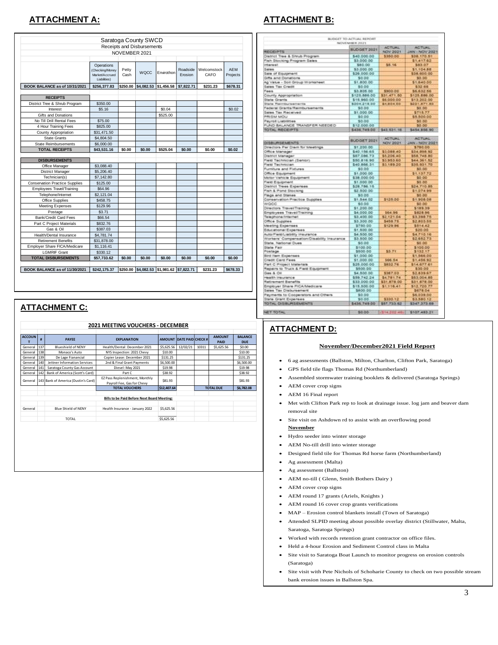## **ATTACHMENT A: ATTACHMENT B:**

|                                                       |                                                                 | NOVEMBER 2021 | Saratoga County SWCD<br>Receipts and Disbursements |            |                     |                     |                        |
|-------------------------------------------------------|-----------------------------------------------------------------|---------------|----------------------------------------------------|------------|---------------------|---------------------|------------------------|
|                                                       | Operations<br>(Checking/Money<br>Market/Accrued<br>Liabilities) | Petty<br>Cash | <b>WQCC</b>                                        | Envirothon | Roadside<br>Erosion | Welcomstock<br>CAFO | <b>AFM</b><br>Projects |
| BOOK BALANCE as of 10/31/2021                         | \$256,377.83                                                    | \$250.00      | \$4,082.53                                         | \$1,456.58 | \$7,822.71          | \$231.23            | \$678.31               |
|                                                       |                                                                 |               |                                                    |            |                     |                     |                        |
| <b>RECEIPTS</b>                                       |                                                                 |               |                                                    |            |                     |                     |                        |
| District Tree & Shrub Program                         | \$350.00                                                        |               |                                                    |            |                     |                     |                        |
| Interest                                              | \$5.16                                                          |               |                                                    | \$0.04     |                     |                     | \$0.02                 |
| Gifts and Donations                                   |                                                                 |               |                                                    | \$525.00   |                     |                     |                        |
| No Till Drill Rental Fees                             | \$75.00                                                         |               |                                                    |            |                     |                     |                        |
| 4 Hour Training Fees                                  | \$825.00                                                        |               |                                                    |            |                     |                     |                        |
| County Appropriation                                  | \$31,471.50                                                     |               |                                                    |            |                     |                     |                        |
| <b>State Grants</b>                                   | \$4,804.50                                                      |               |                                                    |            |                     |                     |                        |
| <b>State Reimbursements</b>                           | \$6,000.00                                                      |               |                                                    |            |                     |                     |                        |
| <b>TOTAL RECEIPTS</b>                                 | \$43.531.16                                                     | \$0.00        | \$0.00                                             | \$525.04   | \$0.00              | \$0.00              | \$0.02                 |
| <b>DISBURSEMENTS</b>                                  |                                                                 |               |                                                    |            |                     |                     |                        |
| Office Manager                                        | \$3,088.40                                                      |               |                                                    |            |                     |                     |                        |
| District Manager                                      | \$5,206.40                                                      |               |                                                    |            |                     |                     |                        |
| Technician(s)                                         | \$7,142.80                                                      |               |                                                    |            |                     |                     |                        |
| <b>Conservation Practice Supplies</b>                 | \$125.00                                                        |               |                                                    |            |                     |                     |                        |
| Employees Travel/Training                             | \$64.96                                                         |               |                                                    |            |                     |                     |                        |
| Telephone/Internet                                    | \$2,121.04                                                      |               |                                                    |            |                     |                     |                        |
| Office Supplies                                       | \$458.75                                                        |               |                                                    |            |                     |                     |                        |
| <b>Meeting Expenses</b>                               | \$129.96                                                        |               |                                                    |            |                     |                     |                        |
| Postage                                               | \$3.71                                                          |               |                                                    |            |                     |                     |                        |
| Bank/Credit Card Fees                                 | \$66.54                                                         |               |                                                    |            |                     |                     |                        |
| Part C Project Materials                              | \$832.76                                                        |               |                                                    |            |                     |                     |                        |
| Gas & Oil                                             | \$387.03                                                        |               |                                                    |            |                     |                     |                        |
|                                                       | \$4,781.74                                                      |               |                                                    |            |                     |                     |                        |
|                                                       |                                                                 |               |                                                    |            |                     |                     |                        |
| Health/Dental Insurance<br><b>Retirement Benefits</b> |                                                                 |               |                                                    |            |                     |                     |                        |
|                                                       | \$31,878.00                                                     |               |                                                    |            |                     |                     |                        |
| Employer Share FICA/Medicare<br><b>LGMRIF Grant</b>   | \$1,116.41                                                      |               |                                                    |            |                     |                     |                        |
|                                                       | \$330.12                                                        | \$0.00        | \$0.00                                             | \$0.00     | \$0.00              | \$0.00              | \$0.00                 |
| <b>TOTAL DISBURSEMENTS</b>                            | \$57,733.62                                                     |               |                                                    |            |                     |                     |                        |

#### **ATTACHMENT C:**

|               |     |                                     | <b>2021 MEETING VOUCHERS - DECEMBER</b>                      |             |                                 |       |                       |                              |
|---------------|-----|-------------------------------------|--------------------------------------------------------------|-------------|---------------------------------|-------|-----------------------|------------------------------|
|               |     |                                     |                                                              |             |                                 |       |                       |                              |
| <b>ACCOUN</b> | #   | <b>PAYEE</b>                        | <b>EXPLANATION</b>                                           |             | <b>AMOUNT DATE PAID CHECK #</b> |       | <b>AMOUNT</b><br>PAID | <b>BALANCE</b><br><b>DUE</b> |
| General       | 137 | <b>Blueshield of NENY</b>           | Health/Dental: December 2021                                 | \$5,625.56  | 12/02/21                        | 10311 | \$5,625.56            | \$0.00                       |
| General       | 138 | Monaco's Auto                       | NYS Inspection: 2021 Chevy                                   | \$10.00     |                                 |       |                       | \$10.00                      |
| General       | 139 | De Lage Fianancial                  | Copier Lease: December 2021                                  | \$131.25    |                                 |       |                       | \$131.25                     |
| General       | 140 | Jettner Information Services        | 2nd & Final Grant Payments                                   | \$6,500.00  |                                 |       |                       | \$6,500.00                   |
| General       | 141 | Saratoga County Gas Account         | Diesel: May 2021                                             | \$19.98     |                                 |       |                       | \$19.98                      |
| General       | 142 | Bank of America (Scott's Card)      | Part C                                                       | \$38.92     |                                 |       |                       | \$38.92                      |
| General       |     | 143 Bank of America (Dustin's Card) | EZ Pass Replenishment, Monthly<br>Payroll Fee, Gas for Chevy | \$81.93     |                                 |       |                       | \$81.93                      |
|               |     |                                     | <b>TOTAL VOUCHERS</b>                                        | \$12,407.64 |                                 |       | <b>TOTAL DUE</b>      | \$6,782.08                   |
|               |     |                                     |                                                              |             |                                 |       |                       |                              |
|               |     |                                     | Bills to be Paid Before Next Board Meeting:                  |             |                                 |       |                       |                              |
|               |     |                                     |                                                              |             |                                 |       |                       |                              |
| General       |     | <b>Blue Shield of NENY</b>          | Health Insurance - January 2022                              | \$5,625.56  |                                 |       |                       |                              |
|               |     | TOTAL                               |                                                              | \$5.625.56  |                                 |       |                       |                              |

|                                                            | INOVEMBER 2021             |                           |                                 |
|------------------------------------------------------------|----------------------------|---------------------------|---------------------------------|
| <b>RECEIPTS</b>                                            | <b>BUDGET 2021</b>         | <b>ACTUAL</b><br>NOV 2021 | <b>ACTUAL</b><br>JAN - NOV 2021 |
| District Tree & Shrub Program                              | 540,000.00                 | \$350.00                  | \$38,170.51                     |
|                                                            |                            |                           |                                 |
| Fish Stocking Program Sales                                | \$3,000.00                 |                           | \$1,417.62                      |
| <b>Intensity</b>                                           | \$80.00                    | 55.16                     | \$83.07                         |
| Sales                                                      | \$3,000.00                 |                           | \$5,904.98                      |
| Sale of Equipment                                          | \$26,000.00                |                           | \$38,600.00                     |
| Gifts and Donations                                        | \$0.00                     |                           | \$0.00                          |
| Ag 'visiue - Soil Group Worksheet                          | \$1,800.00                 |                           | \$1.640.00                      |
| Sales Tax Credit                                           | \$5.55                     |                           | \$32.66                         |
| Faes                                                       | \$3,805.00                 | \$900.00                  | 56.632.66                       |
| County Appropriation                                       | \$125,886.00               | \$31,471.50               | \$125,886.00                    |
| State Grants                                               | \$15,960.00                | \$4,000.00                | \$13,202.00                     |
| State Raimbursements                                       | 5204.218.00                | \$4,804.50                | 5221,871,83                     |
| Federal Grants/Raimbursements                              | \$0.00                     |                           | 30.00                           |
| Sales Tax Received                                         | \$1,000.00                 |                           | 8715.77                         |
| <b><i>UCIA MERR</i></b>                                    | \$0.00                     |                           | \$5,500.00                      |
| Payrol Liabilities                                         | \$3.00                     |                           | <b>SG DO</b>                    |
| FUND BALANCE TRANSFER NEEDED                               | \$12,000.00                |                           | 50.00                           |
| TOTAL RECEIPTS                                             | \$436,749.00               | 543 531.18                | <b>S454 806.90</b>              |
|                                                            |                            |                           |                                 |
|                                                            |                            | <b>ACTUAL:</b>            | <b>ADTUAL</b>                   |
| <b>DISBURSEMENTS</b>                                       | BLOOKT 2021                | NOV 2021                  | JAN - NOV 2021                  |
| Otrections Par Diem for Meetings                           | \$1,200.00                 |                           | 3780.00                         |
|                                                            | \$40,156.65                | \$3,088.40                | \$34,898.92                     |
| Office Manager<br>District Manager                         | <b>SEP DIM 73</b>          | \$5,206.40                | <b>358, 748.80</b>              |
|                                                            | \$50,816.90                |                           |                                 |
| Field Technician (Senior)                                  |                            | 1195380                   | \$44,061.52                     |
| Field Technician                                           | 10,888.042                 | 53.189.20                 | \$35,931.70                     |
| Furniture and Fixtures                                     | \$0.00                     |                           | \$0.00                          |
| Office Equipment                                           | \$1,000.00                 |                           | \$1,137.72                      |
| Motor Vehicle Equipment                                    | \$38,000.00                |                           | \$0.00                          |
| Field Equipment                                            | \$1,000.00                 |                           | 90.00                           |
| <b>Cistrict Trees Expenses</b>                             | 528,786,15                 |                           | \$24,710 BS                     |
| Fish & Pond Stocking                                       | \$2,500.00                 |                           | \$1.074.99                      |
| Flegs and Stakes                                           | \$0.00                     |                           | 50.00                           |
| Conservation Practice Supplies                             | \$1,544.02                 | \$125.00                  | \$1,908.08                      |
| wooc                                                       | \$0.00                     |                           | 50.00                           |
| Directions Travel/Training                                 | \$1,200.00                 |                           | 5189.39                         |
| Employees Travel/Training                                  | \$4,000.00                 | 564.96                    | 5828.96                         |
| Telephone-finternet                                        | \$3,400.00                 | \$2,721.04                | \$3,398.75                      |
| Office Supplies                                            | \$3,300.00                 | 5458.75                   | \$2,803.65                      |
| <b>Meeting Expenses</b>                                    | \$750.00                   | 3129.95                   | \$514.42                        |
| Educational Expenses                                       | \$1,500.00                 |                           | \$20.00                         |
| Auto/Field/Liability Insurance                             | \$4,500.00                 |                           | \$4,710.16                      |
| Norkers' Compensation/Disability Insurance                 | \$3,500.00                 |                           | \$2,652.73                      |
| State, National Dues                                       | \$5.00                     |                           | \$0.00                          |
|                                                            | \$100.00                   |                           | \$108.00                        |
| State Fair                                                 |                            |                           |                                 |
| Postage                                                    | \$500.00                   | \$3.71                    | \$132.17                        |
| <b>Bird Item Expenses</b>                                  | \$1,000.00                 |                           | \$1,566.00                      |
| <b>Credit Card Fees</b>                                    | \$1,000.00                 | \$66.54                   | \$1,456.92                      |
| Part C Project Materials                                   | \$25,000.00                | 5832.76                   | \$14,677.61                     |
| Repairs to Truck & Field Equipment                         | \$500.00                   |                           | \$30.00                         |
| Gas & Oil                                                  | \$4,800.00                 | 5387.03                   | 52.839.67                       |
| realth insurance                                           | 555 742 24                 | \$4,781.74                | \$53,004.85                     |
| Retinement Benefits                                        | \$33,000.00                | \$31,878.00               | \$31,678.00                     |
| Employer Share FICA/Medicare                               | \$15,500.00                | \$1,956.41                | 512,720.77                      |
|                                                            | \$800.00                   |                           | <b>D678.04</b>                  |
| Sales Tax Disbursement                                     |                            |                           |                                 |
|                                                            | \$0.00                     |                           | \$6,039.00                      |
| Payments to Cooperators and Others<br>State Grant Expenses | 10.00                      | \$330.12                  |                                 |
| TOTAL DISBURSEMENTS                                        | \$430,748.00   \$57,733.62 |                           | \$3,580.12<br>\$347,373.60      |

#### **ATTACHMENT D:**

#### **November/December2021 Field Report**

- 6 ag assessments (Ballston, Milton, Charlton, Clifton Park, Saratoga)
- GPS field tile flags Thomas Rd (Northumberland)
- Assembled stormwater training booklets & delivered (Saratoga Springs)
- AEM cover crop signs
- AEM 16 Final report
- Met with Clifton Park rep to look at drainage issue. log jam and beaver dam removal site
- Site visit on Ashdown rd to assist with an overflowing pond **November**
- Hydro seeder into winter storage
- AEM No-till drill into winter storage
- Designed field tile for Thomas Rd horse farm (Northumberland)
- Ag assessment (Malta)
- Ag assessment (Ballston)
- AEM no-till ( Glenn, Smith Bothers Dairy )
- AEM cover crop signs
- AEM round 17 grants (Ariels, Knights )
- AEM round 16 cover crop grants verifications
- MAP Erosion control blankets install (Town of Saratoga)
- Attended SLPID meeting about possible overlay district (Stillwater, Malta, Saratoga, Saratoga Springs)
- Worked with records retention grant contractor on office files.
- Held a 4-hour Erosion and Sediment Control class in Malta
- Site visit to Saratoga Boat Launch to monitor progress on erosion controls (Saratoga)
- Site visit with Pete Nichols of Schoharie County to check on two possible stream bank erosion issues in Ballston Spa.